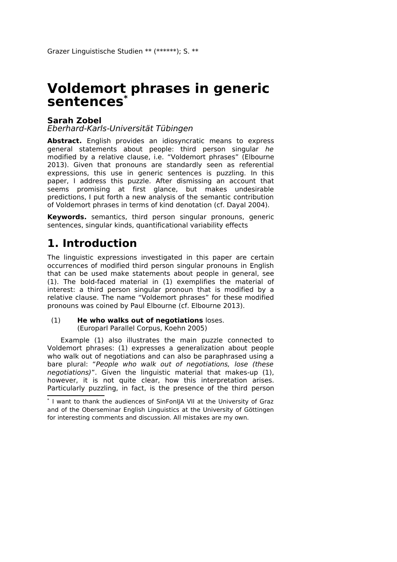#### **Sarah Zobel**

Eberhard-Karls-Universität Tübingen

Abstract. English provides an idiosyncratic means to express general statements about people: third person singular he modified by a relative clause, i.e. "Voldemort phrases" (Elbourne 2013). Given that pronouns are standardly seen as referential expressions, this use in generic sentences is puzzling. In this paper, I address this puzzle. After dismissing an account that seems promising at first glance, but makes undesirable predictions, I put forth a new analysis of the semantic contribution of Voldemort phrases in terms of kind denotation (cf. Dayal 2004).

**Keywords.** semantics, third person singular pronouns, generic sentences, singular kinds, quantificational variability effects

## **1. Introduction**

The linguistic expressions investigated in this paper are certain occurrences of modified third person singular pronouns in English that can be used make statements about people in general, see (1). The bold-faced material in (1) exemplifies the material of interest: a third person singular pronoun that is modified by a relative clause. The name "Voldemort phrases" for these modified pronouns was coined by Paul Elbourne (cf. Elbourne 2013).

#### (1) **He who walks out of negotiations** loses. (Europarl Parallel Corpus, Koehn 2005)

Example (1) also illustrates the main puzzle connected to Voldemort phrases: (1) expresses a generalization about people who walk out of negotiations and can also be paraphrased using a bare plural: "People who walk out of negotiations, lose (these negotiations)". Given the linguistic material that makes-up (1), however, it is not quite clear, how this interpretation arises. Particularly puzzling, in fact, is the presence of the third person

<span id="page-0-0"></span><sup>\*</sup> I want to thank the audiences of SinFonIJA VII at the University of Graz and of the Oberseminar English Linguistics at the University of Göttingen for interesting comments and discussion. All mistakes are my own.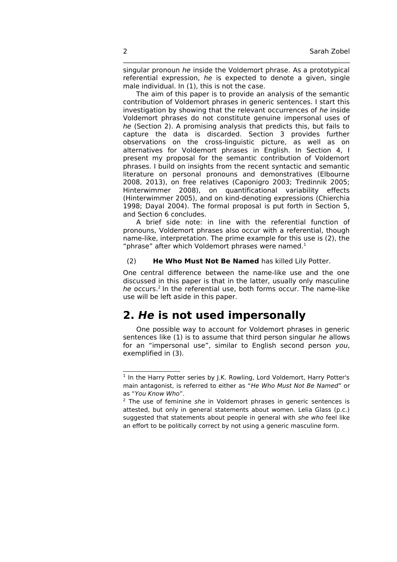singular pronoun he inside the Voldemort phrase. As a prototypical referential expression, he is expected to denote a given, single male individual. In (1), this is not the case.

\_\_\_\_\_\_\_\_\_\_\_\_\_\_\_\_\_\_\_\_\_\_\_\_\_\_\_\_\_\_\_\_\_\_\_\_\_\_\_\_\_\_\_\_\_\_\_\_\_\_\_\_\_\_\_\_\_\_\_\_\_\_\_\_\_\_\_\_

The aim of this paper is to provide an analysis of the semantic contribution of Voldemort phrases in generic sentences. I start this investigation by showing that the relevant occurrences of he inside Voldemort phrases do not constitute genuine impersonal uses of he (Section 2). A promising analysis that predicts this, but fails to capture the data is discarded. Section 3 provides further observations on the cross-linguistic picture, as well as on alternatives for Voldemort phrases in English. In Section 4, I present my proposal for the semantic contribution of Voldemort phrases. I build on insights from the recent syntactic and semantic literature on personal pronouns and demonstratives (Elbourne 2008, 2013), on free relatives (Caponigro 2003; Tredinnik 2005; Hinterwimmer 2008), on quantificational variability effects (Hinterwimmer 2005), and on kind-denoting expressions (Chierchia 1998; Dayal 2004). The formal proposal is put forth in Section 5, and Section 6 concludes.

A brief side note: in line with the referential function of pronouns, Voldemort phrases also occur with a referential, though name-like, interpretation. The prime example for this use is (2), the "phrase" after which Voldemort phrases were named. $1$ 

#### (2) **He Who Must Not Be Named** has killed Lily Potter.

One central difference between the name-like use and the one discussed in this paper is that in the latter, usually only masculine he occurs.<sup>[2](#page-1-1)</sup> In the referential use, both forms occur. The name-like use will be left aside in this paper.

### **2. He is not used impersonally**

One possible way to account for Voldemort phrases in generic sentences like (1) is to assume that third person singular he allows for an "impersonal use", similar to English second person you, exemplified in (3).

<span id="page-1-0"></span><sup>&</sup>lt;sup>1</sup> In the Harry Potter series by J.K. Rowling, Lord Voldemort, Harry Potter's main antagonist, is referred to either as "He Who Must Not Be Named" or as "You Know Who".

<span id="page-1-1"></span> $2$  The use of feminine she in Voldemort phrases in generic sentences is attested, but only in general statements about women. Lelia Glass (p.c.) suggested that statements about people in general with she who feel like an effort to be politically correct by not using a generic masculine form.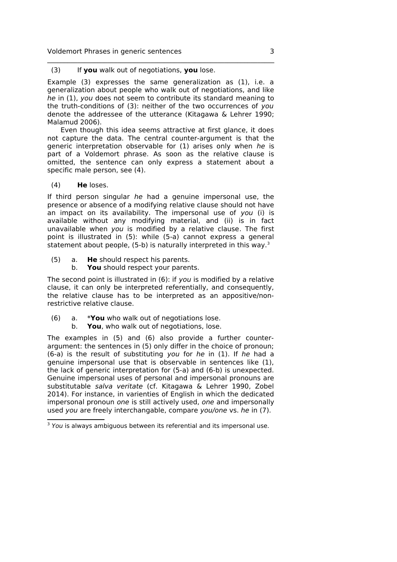#### (3) If **you** walk out of negotiations, **you** lose.

Example (3) expresses the same generalization as (1), i.e. a generalization about people who walk out of negotiations, and like he in (1), you does not seem to contribute its standard meaning to the truth-conditions of (3): neither of the two occurrences of you denote the addressee of the utterance (Kitagawa & Lehrer 1990; Malamud 2006).

\_\_\_\_\_\_\_\_\_\_\_\_\_\_\_\_\_\_\_\_\_\_\_\_\_\_\_\_\_\_\_\_\_\_\_\_\_\_\_\_\_\_\_\_\_\_\_\_\_\_\_\_\_\_\_\_\_\_\_\_\_\_\_\_\_\_\_\_

Even though this idea seems attractive at first glance, it does not capture the data. The central counter-argument is that the generic interpretation observable for (1) arises only when he is part of a Voldemort phrase. As soon as the relative clause is omitted, the sentence can only express a statement about a specific male person, see (4).

(4) **He** loses.

If third person singular he had a genuine impersonal use, the presence or absence of a modifying relative clause should not have an impact on its availability. The impersonal use of you (i) is available without any modifying material, and (ii) is in fact unavailable when you is modified by a relative clause. The first point is illustrated in (5): while (5-a) cannot express a general statement about people,  $(5-b)$  is naturally interpreted in this way.<sup>[3](#page-2-0)</sup>

- (5) a. **He** should respect his parents.
	- b. **You** should respect your parents.

The second point is illustrated in (6): if you is modified by a relative clause, it can only be interpreted referentially, and consequently, the relative clause has to be interpreted as an appositive/nonrestrictive relative clause.

- (6) a. \***You** who walk out of negotiations lose.
	- b. **You**, who walk out of negotiations, lose.

The examples in (5) and (6) also provide a further counterargument: the sentences in (5) only differ in the choice of pronoun; (6-a) is the result of substituting you for he in (1). If he had a genuine impersonal use that is observable in sentences like (1), the lack of generic interpretation for (5-a) and (6-b) is unexpected. Genuine impersonal uses of personal and impersonal pronouns are substitutable salva veritate (cf. Kitagawa & Lehrer 1990, Zobel 2014). For instance, in varienties of English in which the dedicated impersonal pronoun one is still actively used, one and impersonally used you are freely interchangable, compare you/one vs. he in (7).

<span id="page-2-0"></span> $3$  You is always ambiguous between its referential and its impersonal use.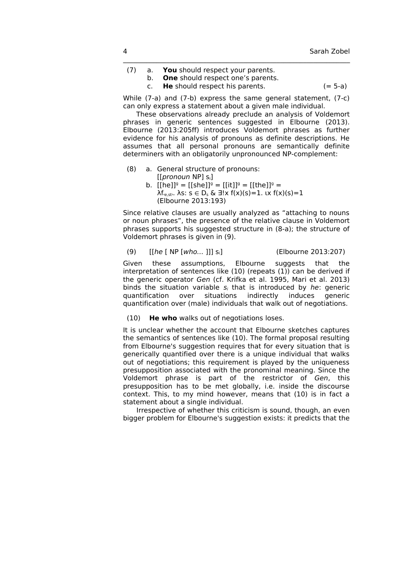- (7) a. **You** should respect your parents.
	- b. **One** should respect one's parents.

c. **He** should respect his parents. (= 5-a)

While (7-a) and (7-b) express the same general statement, (7-c) can only express a statement about a given male individual.

\_\_\_\_\_\_\_\_\_\_\_\_\_\_\_\_\_\_\_\_\_\_\_\_\_\_\_\_\_\_\_\_\_\_\_\_\_\_\_\_\_\_\_\_\_\_\_\_\_\_\_\_\_\_\_\_\_\_\_\_\_\_\_\_\_\_\_\_

These observations already preclude an analysis of Voldemort phrases in generic sentences suggested in Elbourne (2013). Elbourne (2013:205ff) introduces Voldemort phrases as further evidence for his analysis of pronouns as definite descriptions. He assumes that all personal pronouns are semantically definite determiners with an obligatorily unpronounced NP-complement:

- (8) a. General structure of pronouns: [[pronoun NP] si]
	- b.  $[[he]]^g = [[she]]^g = [[it]]^g = [[the]]^g =$  $λf_{(e, sb)}$ . λs:  $s ∈ D_s$  &  $∃!x f(x)(s)=1$ .  $(x f(x)(s)=1$ (Elbourne 2013:193)

Since relative clauses are usually analyzed as "attaching to nouns or noun phrases", the presence of the relative clause in Voldemort phrases supports his suggested structure in (8-a); the structure of Voldemort phrases is given in (9).

(9) [[he [ NP [who... ]]] si] (Elbourne 2013:207)

Given these assumptions, Elbourne suggests that the interpretation of sentences like (10) (repeats (1)) can be derived if the generic operator Gen (cf. Krifka et al. 1995, Mari et al. 2013) binds the situation variable  $s_i$  that is introduced by he: generic quantification over situations indirectly induces generic quantification over (male) individuals that walk out of negotiations.

(10) **He who** walks out of negotiations loses.

It is unclear whether the account that Elbourne sketches captures the semantics of sentences like (10). The formal proposal resulting from Elbourne's suggestion requires that for every situation that is generically quantified over there is a unique individual that walks out of negotiations; this requirement is played by the uniqueness presupposition associated with the pronominal meaning. Since the Voldemort phrase is part of the restrictor of Gen, this presupposition has to be met globally, i.e. inside the discourse context. This, to my mind however, means that (10) is in fact a statement about a single individual.

Irrespective of whether this criticism is sound, though, an even bigger problem for Elbourne's suggestion exists: it predicts that the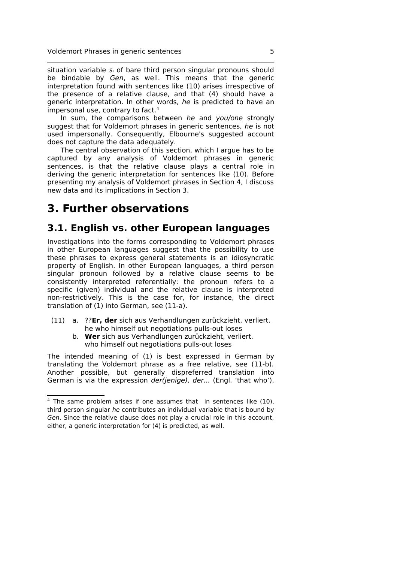situation variable  $s_i$  of bare third person singular pronouns should be bindable by Gen, as well. This means that the generic interpretation found with sentences like (10) arises irrespective of the presence of a relative clause, and that (4) should have a generic interpretation. In other words, he is predicted to have an impersonal use, contrary to fact.<sup>[4](#page-4-0)</sup>

\_\_\_\_\_\_\_\_\_\_\_\_\_\_\_\_\_\_\_\_\_\_\_\_\_\_\_\_\_\_\_\_\_\_\_\_\_\_\_\_\_\_\_\_\_\_\_\_\_\_\_\_\_\_\_\_\_\_\_\_\_\_\_\_\_\_\_\_

In sum, the comparisons between he and you/one strongly suggest that for Voldemort phrases in generic sentences, he is not used impersonally. Consequently, Elbourne's suggested account does not capture the data adequately.

The central observation of this section, which I argue has to be captured by any analysis of Voldemort phrases in generic sentences, is that the relative clause plays a central role in deriving the generic interpretation for sentences like (10). Before presenting my analysis of Voldemort phrases in Section 4, I discuss new data and its implications in Section 3.

## **3. Further observations**

### **3.1. English vs. other European languages**

Investigations into the forms corresponding to Voldemort phrases in other European languages suggest that the possibility to use these phrases to express general statements is an idiosyncratic property of English. In other European languages, a third person singular pronoun followed by a relative clause seems to be consistently interpreted referentially: the pronoun refers to a specific (given) individual and the relative clause is interpreted non-restrictively. This is the case for, for instance, the direct translation of (1) into German, see (11-a).

- (11) a. ??**Er, der** sich aus Verhandlungen zurückzieht, verliert. he who himself out negotiations pulls-out loses
	- b. **Wer** sich aus Verhandlungen zurückzieht, verliert. who himself out negotiations pulls-out loses

The intended meaning of (1) is best expressed in German by translating the Voldemort phrase as a free relative, see (11-b). Another possible, but generally dispreferred translation into German is via the expression der(jenige), der... (Engl. 'that who'),

<span id="page-4-0"></span> $4$  The same problem arises if one assumes that in sentences like (10), third person singular he contributes an individual variable that is bound by Gen. Since the relative clause does not play a crucial role in this account, either, a generic interpretation for (4) is predicted, as well.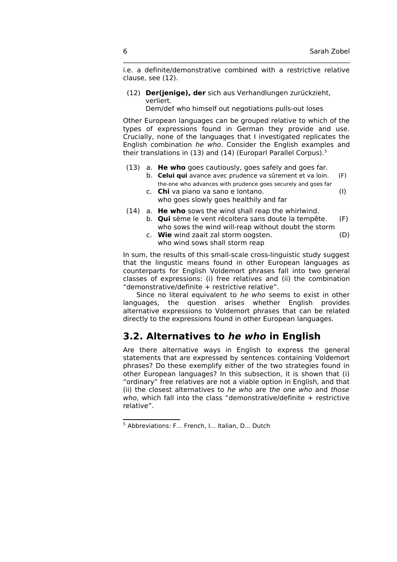i.e. a definite/demonstrative combined with a restrictive relative clause, see (12).

\_\_\_\_\_\_\_\_\_\_\_\_\_\_\_\_\_\_\_\_\_\_\_\_\_\_\_\_\_\_\_\_\_\_\_\_\_\_\_\_\_\_\_\_\_\_\_\_\_\_\_\_\_\_\_\_\_\_\_\_\_\_\_\_\_\_\_\_

(12) **Der(jenige), der** sich aus Verhandlungen zurückzieht, verliert.

Dem/def who himself out negotiations pulls-out loses

Other European languages can be grouped relative to which of the types of expressions found in German they provide and use. Crucially, none of the languages that I investigated replicates the English combination he who. Consider the English examples and their translations in (13) and (14) (Europarl Parallel Corpus).<sup>[5](#page-5-0)</sup>

- (13) a. **He who** goes cautiously, goes safely and goes far.
	- b. **Celui qui** avance avec prudence va sûrement et va loin. (F) the-one who advances with prudence goes securely and goes far
	- c. **Chi** va piano va sano e lontano. (I) who goes slowly goes healthily and far
- (14) a. **He who** sows the wind shall reap the whirlwind. b. **Qui** sème le vent récoltera sans doute la tempête. (F) who sows the wind will-reap without doubt the storm
	- c. **Wie** wind zaait zal storm oogsten. (D) who wind sows shall storm reap

In sum, the results of this small-scale cross-linguistic study suggest that the lingustic means found in other European languages as counterparts for English Voldemort phrases fall into two general classes of expressions: (i) free relatives and (ii) the combination "demonstrative/definite + restrictive relative".

Since no literal equivalent to he who seems to exist in other languages, the question arises whether English provides alternative expressions to Voldemort phrases that can be related directly to the expressions found in other European languages.

### **3.2. Alternatives to he who in English**

Are there alternative ways in English to express the general statements that are expressed by sentences containing Voldemort phrases? Do these exemplify either of the two strategies found in other European languages? In this subsection, it is shown that (i) "ordinary" free relatives are not a viable option in English, and that (ii) the closest alternatives to he who are the one who and those who, which fall into the class "demonstrative/definite + restrictive relative".

<span id="page-5-0"></span><sup>5</sup> Abbreviations: F... French, I... Italian, D... Dutch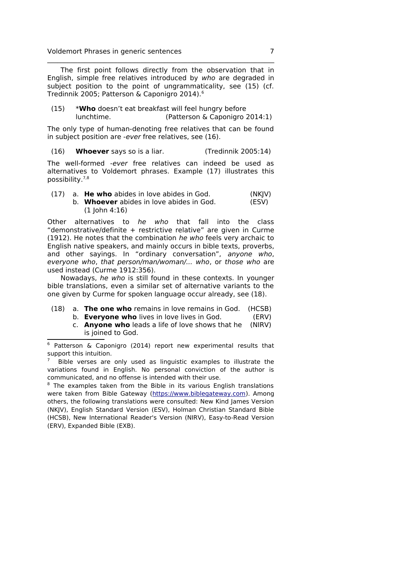The first point follows directly from the observation that in English, simple free relatives introduced by who are degraded in subject position to the point of ungrammaticality, see (15) (cf. Tredinnik 2005; Patterson & Caponigro 2014).[6](#page-6-0)

\_\_\_\_\_\_\_\_\_\_\_\_\_\_\_\_\_\_\_\_\_\_\_\_\_\_\_\_\_\_\_\_\_\_\_\_\_\_\_\_\_\_\_\_\_\_\_\_\_\_\_\_\_\_\_\_\_\_\_\_\_\_\_\_\_\_\_\_

(15) \***Who** doesn't eat breakfast will feel hungry before lunchtime. (Patterson & Caponigro 2014:1)

The only type of human-denoting free relatives that can be found in subject position are -ever free relatives, see (16).

(16) **Whoever** says so is a liar. (Tredinnik 2005:14)

The well-formed -ever free relatives can indeed be used as alternatives to Voldemort phrases. Example (17) illustrates this possibility. [7](#page-6-1)[,8](#page-6-2)

(17) a. **He who** abides in love abides in God. (NKJV) b. **Whoever** abides in love abides in God. (ESV) (1 John 4:16)

Other alternatives to he who that fall into the class "demonstrative/definite + restrictive relative" are given in Curme (1912). He notes that the combination he who feels very archaic to English native speakers, and mainly occurs in bible texts, proverbs, and other sayings. In "ordinary conversation", anyone who, everyone who, that person/man/woman/... who, or those who are used instead (Curme 1912:356).

Nowadays, he who is still found in these contexts. In younger bible translations, even a similar set of alternative variants to the one given by Curme for spoken language occur already, see (18).

- (18) a. **The one who** remains in love remains in God. (HCSB)
	- b. **Everyone who** lives in love lives in God. (ERV)
	- c. **Anyone who** leads a life of love shows that he (NIRV) is joined to God.

<span id="page-6-0"></span><sup>6</sup> Patterson & Caponigro (2014) report new experimental results that support this intuition.

<span id="page-6-1"></span><sup>7</sup> Bible verses are only used as linguistic examples to illustrate the variations found in English. No personal conviction of the author is communicated, and no offense is intended with their use.

<span id="page-6-2"></span> $8$  The examples taken from the Bible in its various English translations were taken from Bible Gateway [\(https://www.biblegateway.com\)](https://www.biblegateway.com/). Among others, the following translations were consulted: New Kind James Version (NKJV), English Standard Version (ESV), Holman Christian Standard Bible (HCSB), New International Reader's Version (NIRV), Easy-to-Read Version (ERV), Expanded Bible (EXB).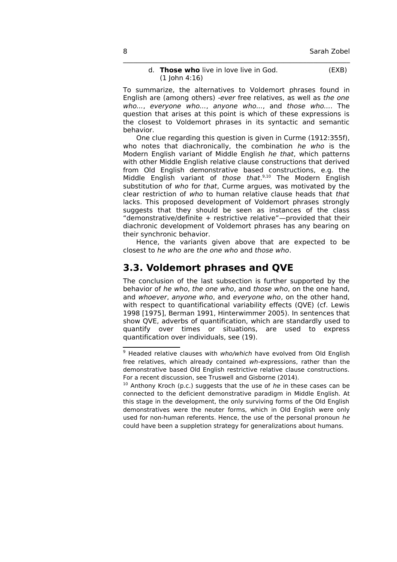#### d. **Those who** live in love live in God. (EXB)  $(1$  John  $4:16)$

\_\_\_\_\_\_\_\_\_\_\_\_\_\_\_\_\_\_\_\_\_\_\_\_\_\_\_\_\_\_\_\_\_\_\_\_\_\_\_\_\_\_\_\_\_\_\_\_\_\_\_\_\_\_\_\_\_\_\_\_\_\_\_\_\_\_\_\_

To summarize, the alternatives to Voldemort phrases found in English are (among others) -ever free relatives, as well as the one who..., everyone who..., anyone who..., and those who.... The question that arises at this point is which of these expressions is the closest to Voldemort phrases in its syntactic and semantic behavior.

One clue regarding this question is given in Curme (1912:355f), who notes that diachronically, the combination he who is the Modern English variant of Middle English he that, which patterns with other Middle English relative clause constructions that derived from Old English demonstrative based constructions, e.g. the Middle English variant of those that.<sup>[9,](#page-7-0)[10](#page-7-1)</sup> The Modern English substitution of who for that, Curme argues, was motivated by the clear restriction of who to human relative clause heads that that lacks. This proposed development of Voldemort phrases strongly suggests that they should be seen as instances of the class "demonstrative/definite + restrictive relative"—provided that their diachronic development of Voldemort phrases has any bearing on their synchronic behavior.

Hence, the variants given above that are expected to be closest to he who are the one who and those who.

### **3.3. Voldemort phrases and QVE**

The conclusion of the last subsection is further supported by the behavior of he who, the one who, and those who, on the one hand, and whoever, anyone who, and everyone who, on the other hand, with respect to quantificational variability effects (OVE) (cf. Lewis 1998 [1975], Berman 1991, Hinterwimmer 2005). In sentences that show QVE, adverbs of quantification, which are standardly used to quantify over times or situations, are used to express quantification over individuals, see (19).

<span id="page-7-0"></span> $9$  Headed relative clauses with who/which have evolved from Old English free relatives, which already contained wh-expressions, rather than the demonstrative based Old English restrictive relative clause constructions. For a recent discussion, see Truswell and Gisborne (2014).

<span id="page-7-1"></span> $10$  Anthony Kroch (p.c.) suggests that the use of he in these cases can be connected to the deficient demonstrative paradigm in Middle English. At this stage in the development, the only surviving forms of the Old English demonstratives were the neuter forms, which in Old English were only used for non-human referents. Hence, the use of the personal pronoun he could have been a suppletion strategy for generalizations about humans.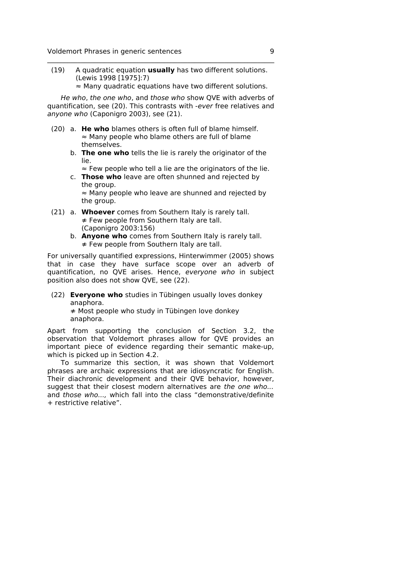(19) A quadratic equation **usually** has two different solutions. (Lewis 1998 [1975]:7)

\_\_\_\_\_\_\_\_\_\_\_\_\_\_\_\_\_\_\_\_\_\_\_\_\_\_\_\_\_\_\_\_\_\_\_\_\_\_\_\_\_\_\_\_\_\_\_\_\_\_\_\_\_\_\_\_\_\_\_\_\_\_\_\_\_\_\_\_

≈ Many quadratic equations have two different solutions. He who, the one who, and those who show QVE with adverbs of

quantification, see (20). This contrasts with -ever free relatives and anyone who (Caponigro 2003), see (21).

- (20) a. **He who** blames others is often full of blame himself. ≈ Many people who blame others are full of blame themselves.
	- b. **The one who** tells the lie is rarely the originator of the lie.

≈ Few people who tell a lie are the originators of the lie.

c. **Those who** leave are often shunned and rejected by the group.

≈ Many people who leave are shunned and rejected by the group.

- (21) a. **Whoever** comes from Southern Italy is rarely tall. ≉ Few people from Southern Italy are tall. (Caponigro 2003:156)
	- b. **Anyone who** comes from Southern Italy is rarely tall. ≉ Few people from Southern Italy are tall.

For universally quantified expressions, Hinterwimmer (2005) shows that in case they have surface scope over an adverb of quantification, no QVE arises. Hence, everyone who in subject position also does not show QVE, see (22).

(22) **Everyone who** studies in Tübingen usually loves donkey anaphora.

≉ Most people who study in Tübingen love donkey anaphora.

Apart from supporting the conclusion of Section 3.2, the observation that Voldemort phrases allow for QVE provides an important piece of evidence regarding their semantic make-up, which is picked up in Section 4.2.

To summarize this section, it was shown that Voldemort phrases are archaic expressions that are idiosyncratic for English. Their diachronic development and their QVE behavior, however, suggest that their closest modern alternatives are the one who... and those who..., which fall into the class "demonstrative/definite + restrictive relative".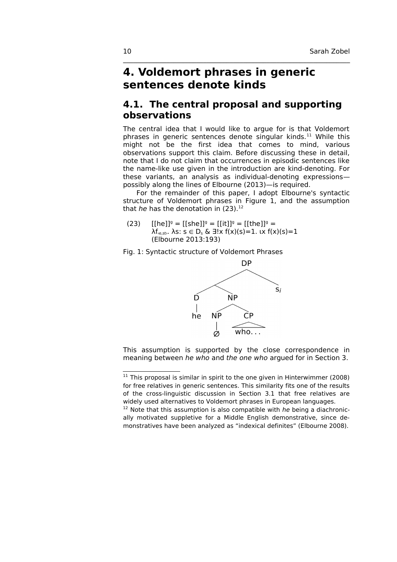## **4. Voldemort phrases in generic sentences denote kinds**

### **4.1. The central proposal and supporting observations**

\_\_\_\_\_\_\_\_\_\_\_\_\_\_\_\_\_\_\_\_\_\_\_\_\_\_\_\_\_\_\_\_\_\_\_\_\_\_\_\_\_\_\_\_\_\_\_\_\_\_\_\_\_\_\_\_\_\_\_\_\_\_\_\_\_\_\_\_

The central idea that I would like to argue for is that Voldemort phrases in generic sentences denote singular kinds.[11](#page-9-0) While this might not be the first idea that comes to mind, various observations support this claim. Before discussing these in detail, note that I do not claim that occurrences in episodic sentences like the name-like use given in the introduction are kind-denoting. For these variants, an analysis as individual-denoting expressions possibly along the lines of Elbourne (2013)—is required.

For the remainder of this paper, I adopt Elbourne's syntactic structure of Voldemort phrases in Figure 1, and the assumption that he has the denotation in  $(23).<sup>12</sup>$  $(23).<sup>12</sup>$  $(23).<sup>12</sup>$ 

(23)  $[[he]]^g = [[she]]^g = [[it]]^g = [[the]]^g =$  $λf_{\text{ce},sb}$ . λs:  $s \in D_s$  &  $\exists !x f(x)(s)=1$ .  $(x f(x)(s)=1$ (Elbourne 2013:193)

Fig. 1: Syntactic structure of Voldemort Phrases



This assumption is supported by the close correspondence in meaning between he who and the one who argued for in Section 3.

<span id="page-9-0"></span> $11$  This proposal is similar in spirit to the one given in Hinterwimmer (2008) for free relatives in generic sentences. This similarity fits one of the results of the cross-linguistic discussion in Section 3.1 that free relatives are widely used alternatives to Voldemort phrases in European languages.

<span id="page-9-1"></span> $12$  Note that this assumption is also compatible with he being a diachronically motivated suppletive for a Middle English demonstrative, since demonstratives have been analyzed as "indexical definites" (Elbourne 2008).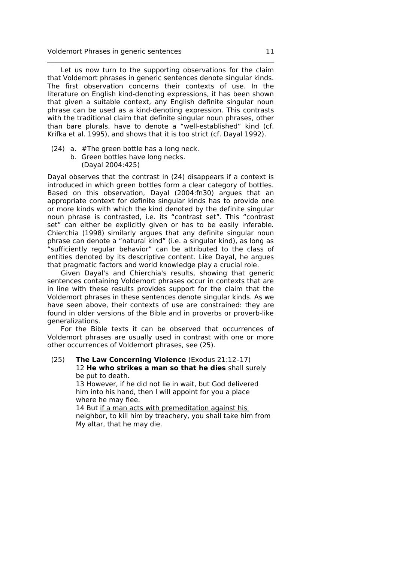Let us now turn to the supporting observations for the claim that Voldemort phrases in generic sentences denote singular kinds. The first observation concerns their contexts of use. In the literature on English kind-denoting expressions, it has been shown that given a suitable context, any English definite singular noun phrase can be used as a kind-denoting expression. This contrasts with the traditional claim that definite singular noun phrases, other than bare plurals, have to denote a "well-established" kind (cf. Krifka et al. 1995), and shows that it is too strict (cf. Dayal 1992).

\_\_\_\_\_\_\_\_\_\_\_\_\_\_\_\_\_\_\_\_\_\_\_\_\_\_\_\_\_\_\_\_\_\_\_\_\_\_\_\_\_\_\_\_\_\_\_\_\_\_\_\_\_\_\_\_\_\_\_\_\_\_\_\_\_\_\_\_

- (24) a. #The green bottle has a long neck.
	- b. Green bottles have long necks. (Dayal 2004:425)

Dayal observes that the contrast in (24) disappears if a context is introduced in which green bottles form a clear category of bottles. Based on this observation, Dayal (2004:fn30) argues that an appropriate context for definite singular kinds has to provide one or more kinds with which the kind denoted by the definite singular noun phrase is contrasted, i.e. its "contrast set". This "contrast set" can either be explicitly given or has to be easily inferable. Chierchia (1998) similarly argues that any definite singular noun phrase can denote a "natural kind" (i.e. a singular kind), as long as "sufficiently regular behavior" can be attributed to the class of entities denoted by its descriptive content. Like Dayal, he argues that pragmatic factors and world knowledge play a crucial role.

Given Dayal's and Chierchia's results, showing that generic sentences containing Voldemort phrases occur in contexts that are in line with these results provides support for the claim that the Voldemort phrases in these sentences denote singular kinds. As we have seen above, their contexts of use are constrained: they are found in older versions of the Bible and in proverbs or proverb-like generalizations.

For the Bible texts it can be observed that occurrences of Voldemort phrases are usually used in contrast with one or more other occurrences of Voldemort phrases, see (25).

(25) **The Law Concerning Violence** (Exodus 21:12–17) 12 **He who strikes a man so that he dies** shall surely be put to death.

> 13 However, if he did not lie in wait, but God delivered him into his hand, then I will appoint for you a place where he may flee.

14 But if a man acts with premeditation against his neighbor, to kill him by treachery, you shall take him from My altar, that he may die.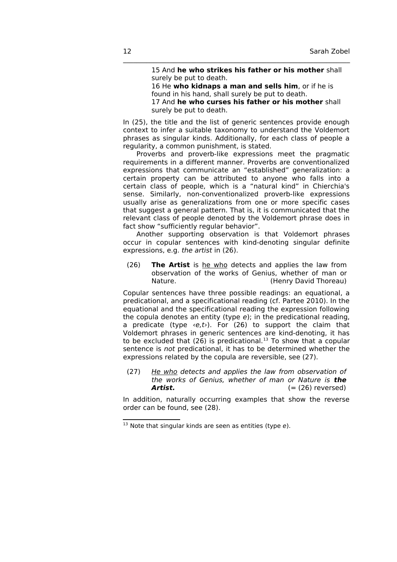15 And **he who strikes his father or his mother** shall surely be put to death. 16 He **who kidnaps a man and sells him**, or if he is found in his hand, shall surely be put to death. 17 And **he who curses his father or his mother** shall surely be put to death.

In (25), the title and the list of generic sentences provide enough context to infer a suitable taxonomy to understand the Voldemort phrases as singular kinds. Additionally, for each class of people a regularity, a common punishment, is stated.

\_\_\_\_\_\_\_\_\_\_\_\_\_\_\_\_\_\_\_\_\_\_\_\_\_\_\_\_\_\_\_\_\_\_\_\_\_\_\_\_\_\_\_\_\_\_\_\_\_\_\_\_\_\_\_\_\_\_\_\_\_\_\_\_\_\_\_\_

Proverbs and proverb-like expressions meet the pragmatic requirements in a different manner. Proverbs are conventionalized expressions that communicate an "established" generalization: a certain property can be attributed to anyone who falls into a certain class of people, which is a "natural kind" in Chierchia's sense. Similarly, non-conventionalized proverb-like expressions usually arise as generalizations from one or more specific cases that suggest a general pattern. That is, it is communicated that the relevant class of people denoted by the Voldemort phrase does in fact show "sufficiently regular behavior".

Another supporting observation is that Voldemort phrases occur in copular sentences with kind-denoting singular definite expressions, e.g. the artist in (26).

(26) **The Artist** is he who detects and applies the law from observation of the works of Genius, whether of man or Nature. (Henry David Thoreau)

Copular sentences have three possible readings: an equational, a predicational, and a specificational reading (cf. Partee 2010). In the equational and the specificational reading the expression following the copula denotes an entity (type e); in the predicational reading, a predicate (type  $\langle e, t \rangle$ ). For (26) to support the claim that Voldemort phrases in generic sentences are kind-denoting, it has to be excluded that  $(26)$  is predicational.<sup>[13](#page-11-0)</sup> To show that a copular sentence is not predicational, it has to be determined whether the expressions related by the copula are reversible, see (27).

(27) He who detects and applies the law from observation of the works of Genius, whether of man or Nature is **the Artist.**  $(=(26) \text{ reversed})$ 

In addition, naturally occurring examples that show the reverse order can be found, see (28).

<span id="page-11-0"></span> $13$  Note that singular kinds are seen as entities (type  $e$ ).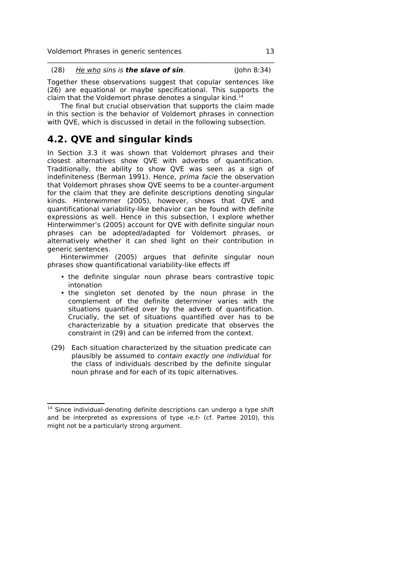| (28) | <u>He who</u> sins is <b>the slave of sin</b> . | (John 8:34) |
|------|-------------------------------------------------|-------------|

Together these observations suggest that copular sentences like (26) are equational or maybe specificational. This supports the claim that the Voldemort phrase denotes a singular kind.<sup>1</sup>

The final but crucial observation that supports the claim made in this section is the behavior of Voldemort phrases in connection with QVE, which is discussed in detail in the following subsection.

### **4.2. QVE and singular kinds**

In Section 3.3 it was shown that Voldemort phrases and their closest alternatives show QVE with adverbs of quantification. Traditionally, the ability to show QVE was seen as a sign of indefiniteness (Berman 1991). Hence, prima facie the observation that Voldemort phrases show QVE seems to be a counter-argument for the claim that they are definite descriptions denoting singular kinds. Hinterwimmer (2005), however, shows that QVE and quantificational variability-like behavior can be found with definite expressions as well. Hence in this subsection, I explore whether Hinterwimmer's (2005) account for QVE with definite singular noun phrases can be adopted/adapted for Voldemort phrases, or alternatively whether it can shed light on their contribution in generic sentences.

Hinterwimmer (2005) argues that definite singular noun phrases show quantificational variability-like effects iff

- the definite singular noun phrase bears contrastive topic intonation
- the singleton set denoted by the noun phrase in the complement of the definite determiner varies with the situations quantified over by the adverb of quantification. Crucially, the set of situations quantified over has to be characterizable by a situation predicate that observes the constraint in (29) and can be inferred from the context.
- (29) Each situation characterized by the situation predicate can plausibly be assumed to contain exactly one individual for the class of individuals described by the definite singular noun phrase and for each of its topic alternatives.

<span id="page-12-0"></span><sup>&</sup>lt;sup>14</sup> Since individual-denoting definite descriptions can undergo a type shift and be interpreted as expressions of type  $\langle e, t \rangle$  (cf. Partee 2010), this might not be a particularly strong argument.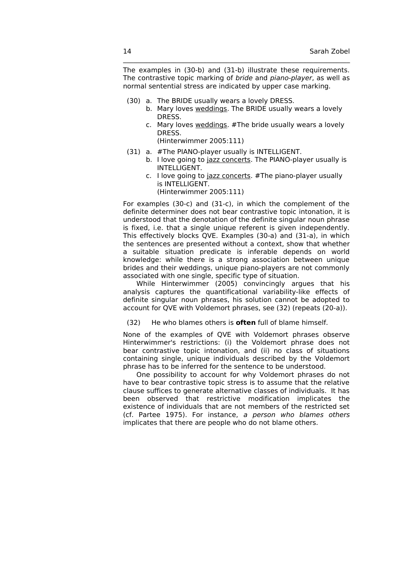The examples in (30-b) and (31-b) illustrate these requirements. The contrastive topic marking of bride and piano-player, as well as normal sentential stress are indicated by upper case marking.

\_\_\_\_\_\_\_\_\_\_\_\_\_\_\_\_\_\_\_\_\_\_\_\_\_\_\_\_\_\_\_\_\_\_\_\_\_\_\_\_\_\_\_\_\_\_\_\_\_\_\_\_\_\_\_\_\_\_\_\_\_\_\_\_\_\_\_\_

- (30) a. The BRIDE usually wears a lovely DRESS.
	- b. Mary loves weddings. The BRIDE usually wears a lovely DRESS.
	- c. Mary loves weddings. #The bride usually wears a lovely DRESS.
		- (Hinterwimmer 2005:111)
- (31) a. #The PIANO-player usually is INTELLIGENT.
	- b. I love going to jazz concerts. The PIANO-player usually is INTELLIGENT.
	- c. I love going to jazz concerts. #The piano-player usually is INTELLIGENT.
		- (Hinterwimmer 2005:111)

For examples (30-c) and (31-c), in which the complement of the definite determiner does not bear contrastive topic intonation, it is understood that the denotation of the definite singular noun phrase is fixed, i.e. that a single unique referent is given independently. This effectively blocks QVE. Examples (30-a) and (31-a), in which the sentences are presented without a context, show that whether a suitable situation predicate is inferable depends on world knowledge: while there is a strong association between unique brides and their weddings, unique piano-players are not commonly associated with one single, specific type of situation.

While Hinterwimmer (2005) convincingly argues that his analysis captures the quantificational variability-like effects of definite singular noun phrases, his solution cannot be adopted to account for QVE with Voldemort phrases, see (32) (repeats (20-a)).

(32) He who blames others is **often** full of blame himself.

None of the examples of QVE with Voldemort phrases observe Hinterwimmer's restrictions: (i) the Voldemort phrase does not bear contrastive topic intonation, and (ii) no class of situations containing single, unique individuals described by the Voldemort phrase has to be inferred for the sentence to be understood.

One possibility to account for why Voldemort phrases do not have to bear contrastive topic stress is to assume that the relative clause suffices to generate alternative classes of individuals. It has been observed that restrictive modification implicates the existence of individuals that are not members of the restricted set (cf. Partee 1975). For instance, a person who blames others implicates that there are people who do not blame others.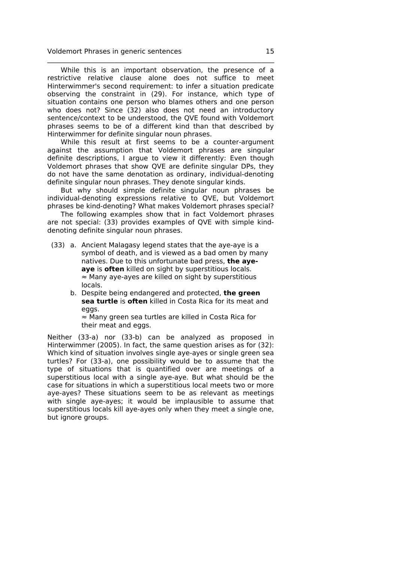While this is an important observation, the presence of a restrictive relative clause alone does not suffice to meet Hinterwimmer's second requirement: to infer a situation predicate observing the constraint in (29). For instance, which type of situation contains one person who blames others and one person who does not? Since (32) also does not need an introductory sentence/context to be understood, the QVE found with Voldemort phrases seems to be of a different kind than that described by Hinterwimmer for definite singular noun phrases.

\_\_\_\_\_\_\_\_\_\_\_\_\_\_\_\_\_\_\_\_\_\_\_\_\_\_\_\_\_\_\_\_\_\_\_\_\_\_\_\_\_\_\_\_\_\_\_\_\_\_\_\_\_\_\_\_\_\_\_\_\_\_\_\_\_\_\_\_

While this result at first seems to be a counter-argument against the assumption that Voldemort phrases are singular definite descriptions, I argue to view it differently: Even though Voldemort phrases that show QVE are definite singular DPs, they do not have the same denotation as ordinary, individual-denoting definite singular noun phrases. They denote singular kinds.

But why should simple definite singular noun phrases be individual-denoting expressions relative to QVE, but Voldemort phrases be kind-denoting? What makes Voldemort phrases special?

The following examples show that in fact Voldemort phrases are not special: (33) provides examples of QVE with simple kinddenoting definite singular noun phrases.

- (33) a. Ancient Malagasy legend states that the aye-aye is a symbol of death, and is viewed as a bad omen by many natives. Due to this unfortunate bad press, **the ayeaye** is **often** killed on sight by superstitious locals. ≈ Many aye-ayes are killed on sight by superstitious locals.
	- b. Despite being endangered and protected, **the green sea turtle** is **often** killed in Costa Rica for its meat and eggs.

≈ Many green sea turtles are killed in Costa Rica for their meat and eggs.

Neither (33-a) nor (33-b) can be analyzed as proposed in Hinterwimmer (2005). In fact, the same question arises as for (32): Which kind of situation involves single aye-ayes or single green sea turtles? For (33-a), one possibility would be to assume that the type of situations that is quantified over are meetings of a superstitious local with a single aye-aye. But what should be the case for situations in which a superstitious local meets two or more aye-ayes? These situations seem to be as relevant as meetings with single aye-ayes; it would be implausible to assume that superstitious locals kill aye-ayes only when they meet a single one, but ignore groups.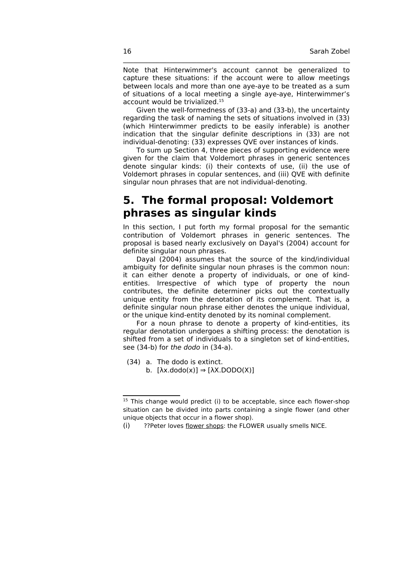Note that Hinterwimmer's account cannot be generalized to capture these situations: if the account were to allow meetings between locals and more than one aye-aye to be treated as a sum of situations of a local meeting a single aye-aye, Hinterwimmer's account would be trivialized.[15](#page-15-0)

\_\_\_\_\_\_\_\_\_\_\_\_\_\_\_\_\_\_\_\_\_\_\_\_\_\_\_\_\_\_\_\_\_\_\_\_\_\_\_\_\_\_\_\_\_\_\_\_\_\_\_\_\_\_\_\_\_\_\_\_\_\_\_\_\_\_\_\_

Given the well-formedness of (33-a) and (33-b), the uncertainty regarding the task of naming the sets of situations involved in (33) (which Hinterwimmer predicts to be easily inferable) is another indication that the singular definite descriptions in (33) are not individual-denoting: (33) expresses QVE over instances of kinds.

To sum up Section 4, three pieces of supporting evidence were given for the claim that Voldemort phrases in generic sentences denote singular kinds: (i) their contexts of use, (ii) the use of Voldemort phrases in copular sentences, and (iii) QVE with definite singular noun phrases that are not individual-denoting.

## **5. The formal proposal: Voldemort phrases as singular kinds**

In this section, I put forth my formal proposal for the semantic contribution of Voldemort phrases in generic sentences. The proposal is based nearly exclusively on Dayal's (2004) account for definite singular noun phrases.

Dayal (2004) assumes that the source of the kind/individual ambiguity for definite singular noun phrases is the common noun: it can either denote a property of individuals, or one of kindentities. Irrespective of which type of property the noun contributes, the definite determiner picks out the contextually unique entity from the denotation of its complement. That is, a definite singular noun phrase either denotes the unique individual, or the unique kind-entity denoted by its nominal complement.

For a noun phrase to denote a property of kind-entities, its regular denotation undergoes a shifting process: the denotation is shifted from a set of individuals to a singleton set of kind-entities, see (34-b) for the dodo in (34-a).

- (34) a. The dodo is extinct.
	- b.  $[\lambda x.dodo(x)] \Rightarrow [\lambda X.DODO(X)]$

<span id="page-15-0"></span><sup>&</sup>lt;sup>15</sup> This change would predict (i) to be acceptable, since each flower-shop situation can be divided into parts containing a single flower (and other unique objects that occur in a flower shop).

<sup>(</sup>i) ??Peter loves flower shops: the FLOWER usually smells NICE.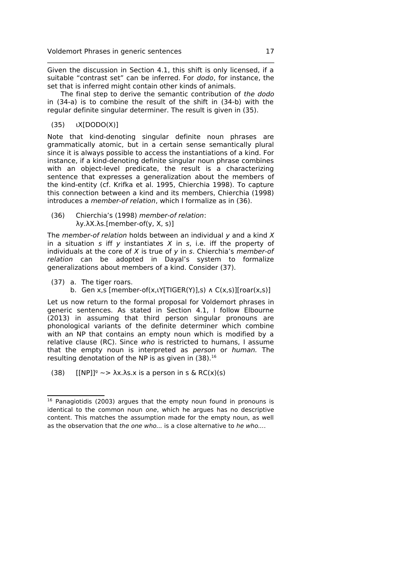Given the discussion in Section 4.1, this shift is only licensed, if a suitable "contrast set" can be inferred. For dodo, for instance, the set that is inferred might contain other kinds of animals.

\_\_\_\_\_\_\_\_\_\_\_\_\_\_\_\_\_\_\_\_\_\_\_\_\_\_\_\_\_\_\_\_\_\_\_\_\_\_\_\_\_\_\_\_\_\_\_\_\_\_\_\_\_\_\_\_\_\_\_\_\_\_\_\_\_\_\_\_

The final step to derive the semantic contribution of the dodo in (34-a) is to combine the result of the shift in (34-b) with the regular definite singular determiner. The result is given in (35).

(35) ιX[DODO(X)]

Note that kind-denoting singular definite noun phrases are grammatically atomic, but in a certain sense semantically plural since it is always possible to access the instantiations of a kind. For instance, if a kind-denoting definite singular noun phrase combines with an object-level predicate, the result is a characterizing sentence that expresses a generalization about the members of the kind-entity (cf. Krifka et al. 1995, Chierchia 1998). To capture this connection between a kind and its members, Chierchia (1998) introduces a member-of relation, which I formalize as in (36).

(36) Chierchia's (1998) member-of relation: λy.λX.λs.[member-of(y, X, s)]

The *member-of relation* holds between an individual  $y$  and a kind  $X$ in a situation  $s$  iff  $y$  instantiates  $X$  in  $s$ , i.e. iff the property of individuals at the core of  $X$  is true of  $y$  in  $s$ . Chierchia's member-of relation can be adopted in Dayal's system to formalize generalizations about members of a kind. Consider (37).

- (37) a. The tiger roars.
	- b. Gen x,s [member-of(x,lY[TIGER(Y)],s)  $\Lambda$  C(x,s)][roar(x,s)]

Let us now return to the formal proposal for Voldemort phrases in generic sentences. As stated in Section 4.1, I follow Elbourne (2013) in assuming that third person singular pronouns are phonological variants of the definite determiner which combine with an NP that contains an empty noun which is modified by a relative clause (RC). Since who is restricted to humans, I assume that the empty noun is interpreted as person or human. The resulting denotation of the NP is as given in  $(38)^{16}$  $(38)^{16}$  $(38)^{16}$ 

(38) [[NP]]<sup> $\circ \sim$ </sup>  $\lambda x.\lambda s.x$  is a person in s & RC(x)(s)

<span id="page-16-0"></span><sup>&</sup>lt;sup>16</sup> Panagiotidis (2003) argues that the empty noun found in pronouns is identical to the common noun one, which he argues has no descriptive content. This matches the assumption made for the empty noun, as well as the observation that the one who... is a close alternative to he who....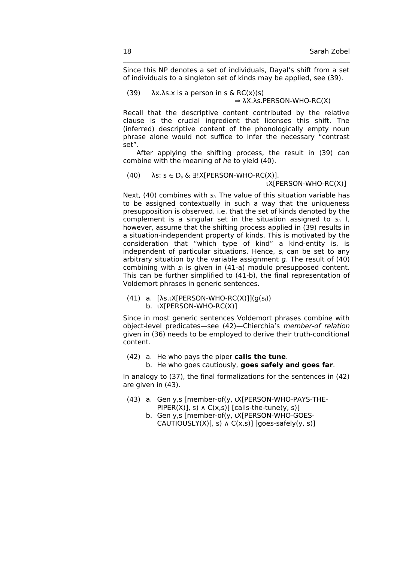Since this NP denotes a set of individuals, Dayal's shift from a set of individuals to a singleton set of kinds may be applied, see (39).

\_\_\_\_\_\_\_\_\_\_\_\_\_\_\_\_\_\_\_\_\_\_\_\_\_\_\_\_\_\_\_\_\_\_\_\_\_\_\_\_\_\_\_\_\_\_\_\_\_\_\_\_\_\_\_\_\_\_\_\_\_\_\_\_\_\_\_\_

(39)  $\lambda x.\lambda s.x$  is a person in s & RC(x)(s)  $\Rightarrow$  λX.λs. PERSON-WHO-RC(X)

Recall that the descriptive content contributed by the relative clause is the crucial ingredient that licenses this shift. The (inferred) descriptive content of the phonologically empty noun phrase alone would not suffice to infer the necessary "contrast set".

After applying the shifting process, the result in (39) can combine with the meaning of he to yield (40).

(40)  $\lambda$ s: s  $\in$  D<sub>s</sub> &  $\exists!$  X[PERSON-WHO-RC(X)].

ιX[PERSON-WHO-RC(X)]

Next, (40) combines with  $s_i$ . The value of this situation variable has to be assigned contextually in such a way that the uniqueness presupposition is observed, i.e. that the set of kinds denoted by the complement is a singular set in the situation assigned to  $s_i$ . I, however, assume that the shifting process applied in (39) results in a situation-independent property of kinds. This is motivated by the consideration that "which type of kind" a kind-entity is, is independent of particular situations. Hence,  $s_i$  can be set to any arbitrary situation by the variable assignment  $g$ . The result of (40) combining with  $s_i$  is given in (41-a) modulo presupposed content. This can be further simplified to (41-b), the final representation of Voldemort phrases in generic sentences.

(41) a.  $[\lambda s \cdot \lambda [PERSON-WHO-RC(X)]](q(s_i))$ b. ιX[PERSON-WHO-RC(X)]

Since in most generic sentences Voldemort phrases combine with object-level predicates—see (42)—Chierchia's member-of relation given in (36) needs to be employed to derive their truth-conditional content.

- (42) a. He who pays the piper **calls the tune**.
	- b. He who goes cautiously, **goes safely and goes far**.

In analogy to (37), the final formalizations for the sentences in (42) are given in (43).

- (43) a. Gen y,s [member-of(y, ιX[PERSON-WHO-PAYS-THE-PIPER(X)], s)  $\Lambda$  C(x,s)] [calls-the-tune(y, s)]
	- b. Gen y,s [member-of(y, ιX[PERSON-WHO-GOES-CAUTIOUSLY $(X)$ ], s)  $\Lambda$  C $(X, S)$ ] [goes-safely $(y, s)$ ]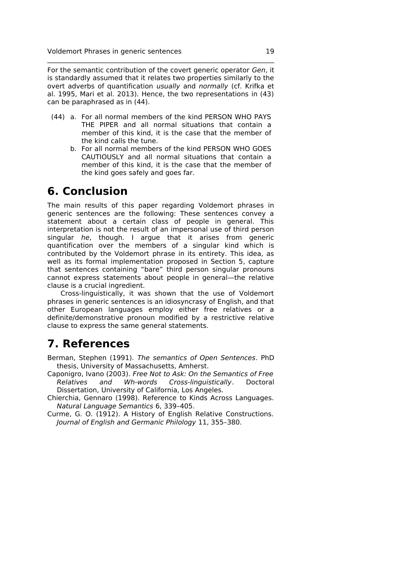For the semantic contribution of the covert generic operator Gen, it is standardly assumed that it relates two properties similarly to the overt adverbs of quantification usually and normally (cf. Krifka et al. 1995, Mari et al. 2013). Hence, the two representations in (43) can be paraphrased as in (44).

\_\_\_\_\_\_\_\_\_\_\_\_\_\_\_\_\_\_\_\_\_\_\_\_\_\_\_\_\_\_\_\_\_\_\_\_\_\_\_\_\_\_\_\_\_\_\_\_\_\_\_\_\_\_\_\_\_\_\_\_\_\_\_\_\_\_\_\_

- (44) a. For all normal members of the kind PERSON WHO PAYS THE PIPER and all normal situations that contain a member of this kind, it is the case that the member of the kind calls the tune.
	- b. For all normal members of the kind PERSON WHO GOES CAUTIOUSLY and all normal situations that contain a member of this kind, it is the case that the member of the kind goes safely and goes far.

### **6. Conclusion**

The main results of this paper regarding Voldemort phrases in generic sentences are the following: These sentences convey a statement about a certain class of people in general. This interpretation is not the result of an impersonal use of third person singular he, though. I argue that it arises from generic quantification over the members of a singular kind which is contributed by the Voldemort phrase in its entirety. This idea, as well as its formal implementation proposed in Section 5, capture that sentences containing "bare" third person singular pronouns cannot express statements about people in general—the relative clause is a crucial ingredient.

Cross-linguistically, it was shown that the use of Voldemort phrases in generic sentences is an idiosyncrasy of English, and that other European languages employ either free relatives or a definite/demonstrative pronoun modified by a restrictive relative clause to express the same general statements.

## **7. References**

Berman, Stephen (1991). The semantics of Open Sentences. PhD thesis, University of Massachusetts, Amherst.

- Caponigro, Ivano (2003). Free Not to Ask: On the Semantics of Free Relatives and Wh-words Cross-linguistically. Doctoral Dissertation, University of California, Los Angeles.
- Chierchia, Gennaro (1998). Reference to Kinds Across Languages. Natural Language Semantics 6, 339–405.
- Curme, G. O. (1912). A History of English Relative Constructions. Journal of English and Germanic Philology 11, 355–380.